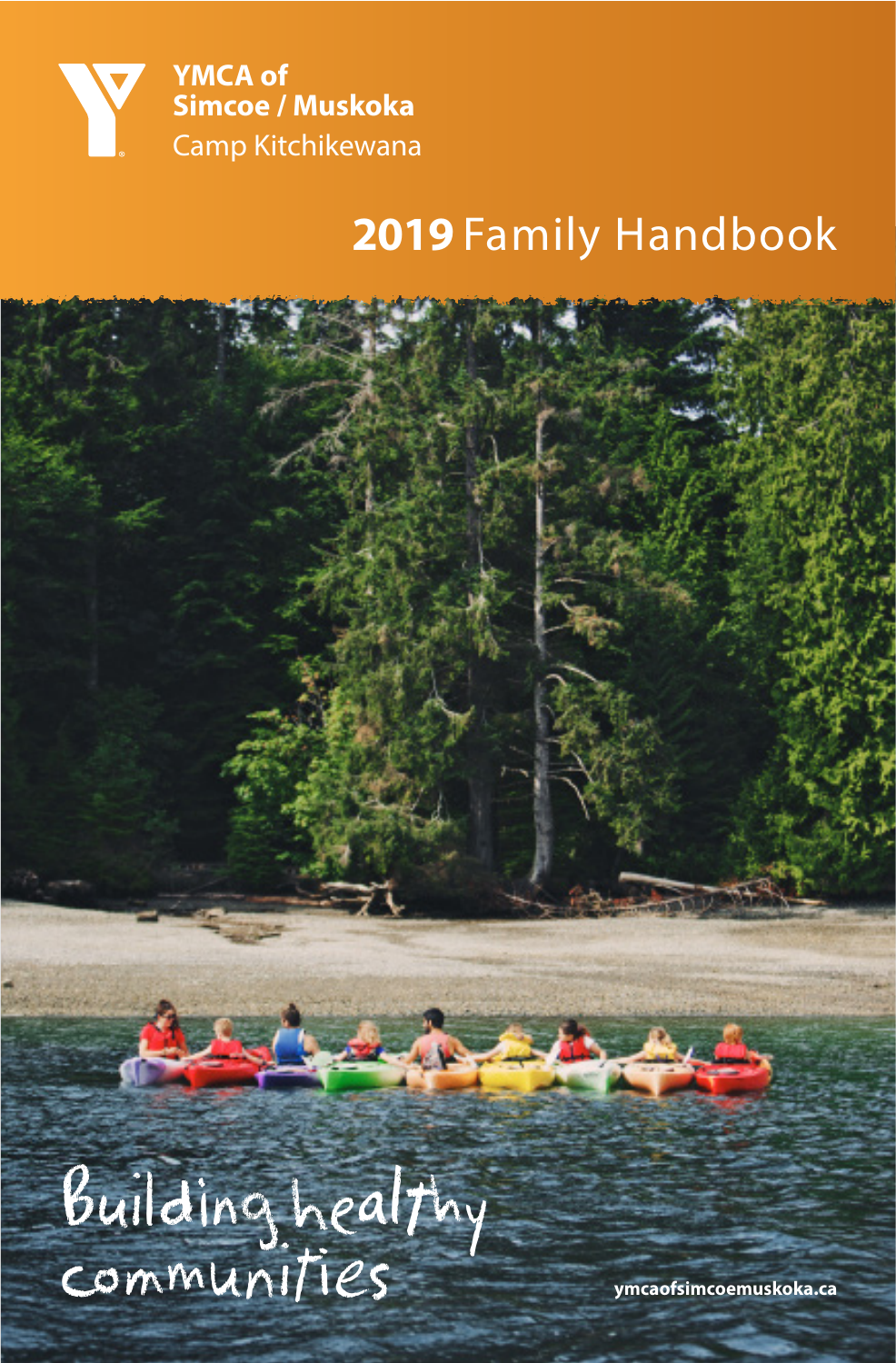

# **2019** Family Handbook

 $\mathcal{A}$ Building healthy communities **ymcaofsimcoemuskoka.ca**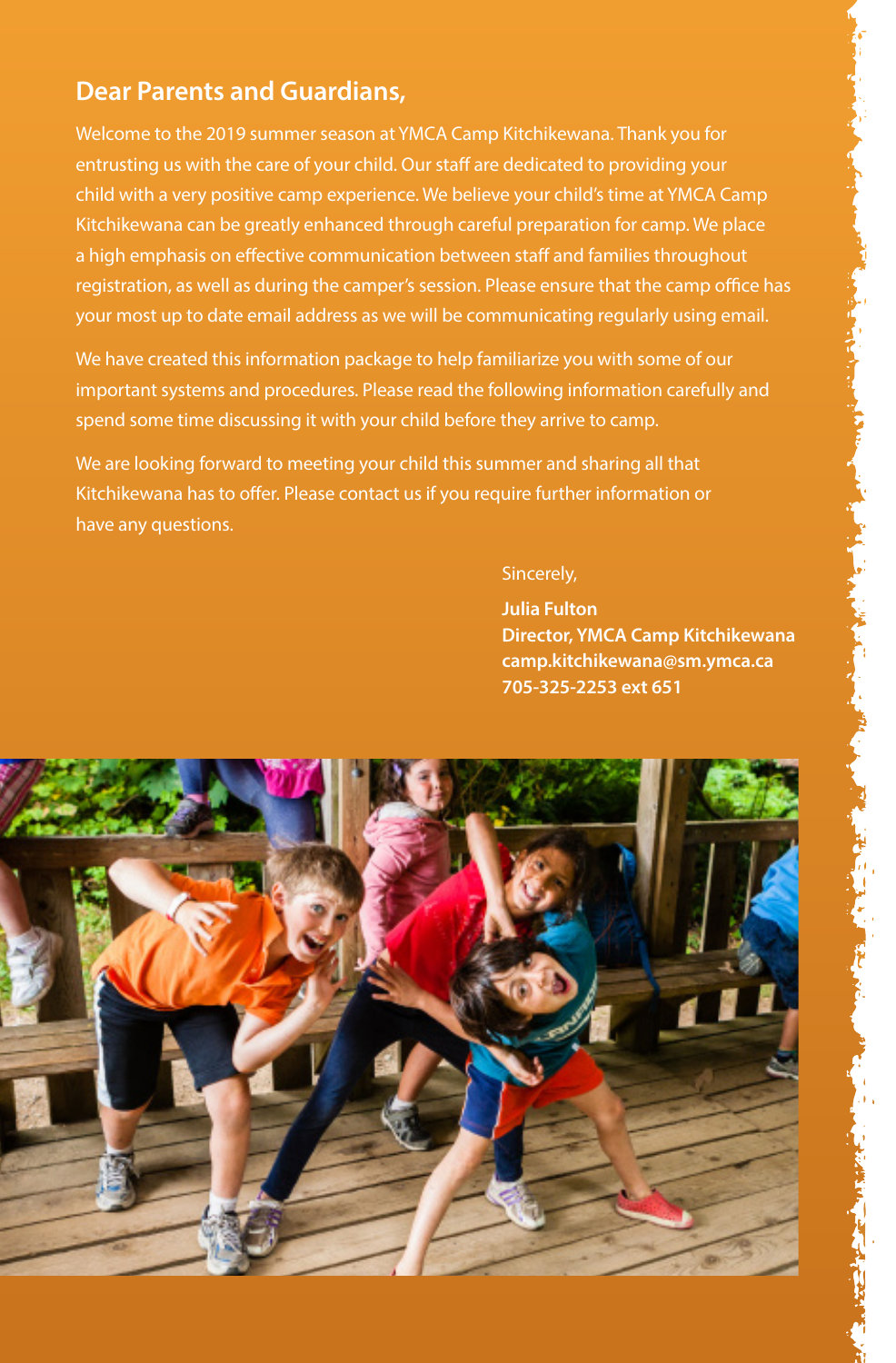# **Dear Parents and Guardians,**

Welcome to the 2019 summer season at YMCA Camp Kitchikewana. Thank you for entrusting us with the care of your child. Our staff are dedicated to providing your child with a very positive camp experience. We believe your child's time at YMCA Camp Kitchikewana can be greatly enhanced through careful preparation for camp. We place a high emphasis on effective communication between staff and families throughout registration, as well as during the camper's session. Please ensure that the camp office has your most up to date email address as we will be communicating regularly using email.

We have created this information package to help familiarize you with some of our important systems and procedures. Please read the following information carefully and spend some time discussing it with your child before they arrive to camp.

We are looking forward to meeting your child this summer and sharing all that Kitchikewana has to offer. Please contact us if you require further information or have any questions.

#### Sincerely,

 **Julia Fulton Director, YMCA Camp Kitchikewana camp.kitchikewana@sm.ymca.ca 705-325-2253 ext 651**

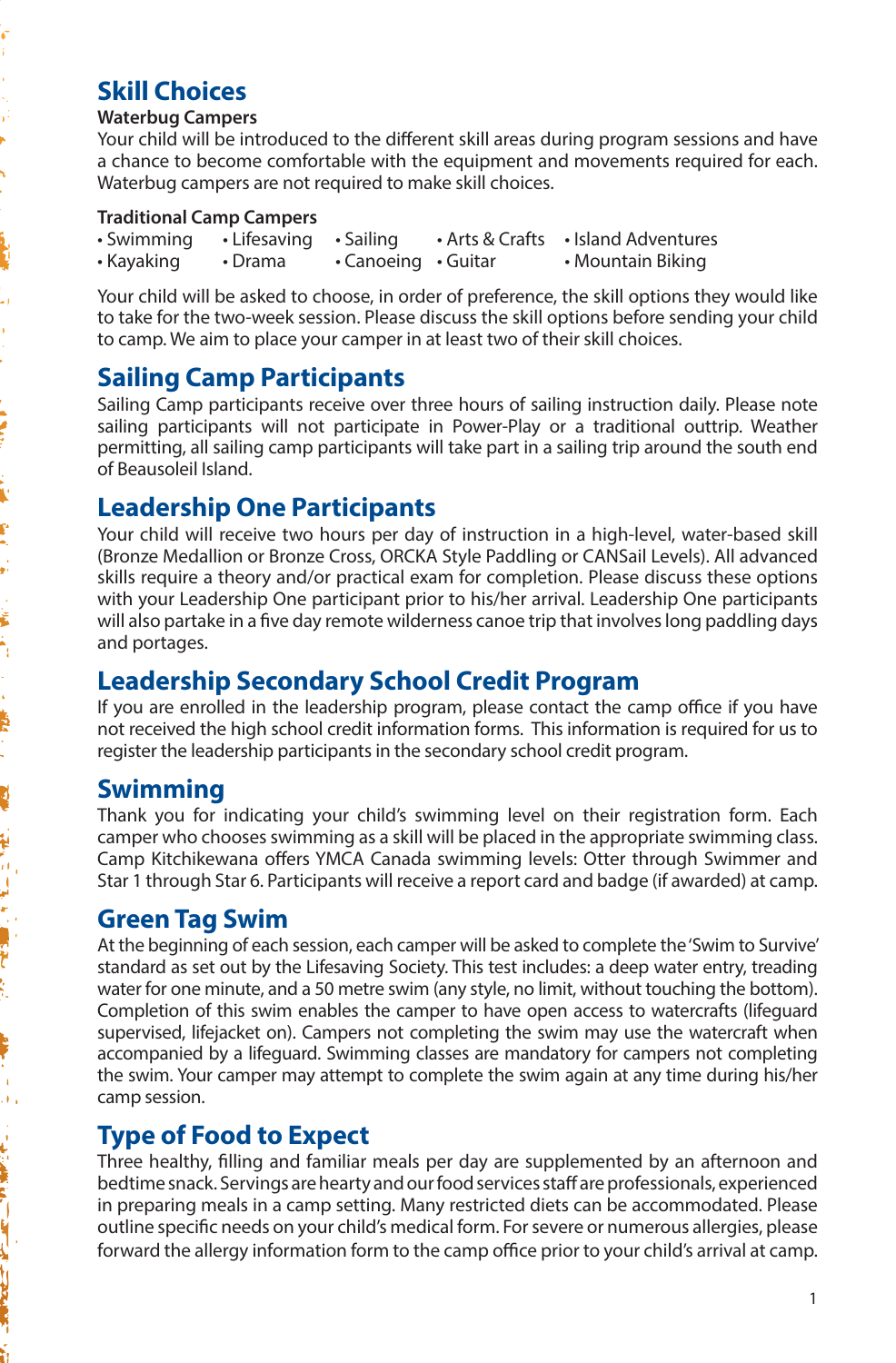# **Skill Choices**

#### **Waterbug Campers**

- 1 Ŷ,

ļ

i<br>V Ê ŗ,

ś

ÿ 'n,

a,

「もいと思い!」

**REAL PROPERTY** 

Your child will be introduced to the different skill areas during program sessions and have a chance to become comfortable with the equipment and movements required for each. Waterbug campers are not required to make skill choices.

#### **Traditional Camp Campers**

| • Swimming | $\cdot$ Lifesaving $\cdot$ Sailing |                                 | • Arts & Crafts • Island Adventures |
|------------|------------------------------------|---------------------------------|-------------------------------------|
| • Kayaking | • Drama                            | $\cdot$ Canoeing $\cdot$ Guitar | • Mountain Biking                   |

Your child will be asked to choose, in order of preference, the skill options they would like to take for the two-week session. Please discuss the skill options before sending your child to camp. We aim to place your camper in at least two of their skill choices.

# **Sailing Camp Participants**

Sailing Camp participants receive over three hours of sailing instruction daily. Please note sailing participants will not participate in Power-Play or a traditional outtrip. Weather permitting, all sailing camp participants will take part in a sailing trip around the south end of Beausoleil Island.

### **Leadership One Participants**

Your child will receive two hours per day of instruction in a high-level, water-based skill (Bronze Medallion or Bronze Cross, ORCKA Style Paddling or CANSail Levels). All advanced skills require a theory and/or practical exam for completion. Please discuss these options with your Leadership One participant prior to his/her arrival. Leadership One participants will also partake in a five day remote wilderness canoe trip that involves long paddling days and portages.

#### **Leadership Secondary School Credit Program**

If you are enrolled in the leadership program, please contact the camp office if you have not received the high school credit information forms. This information is required for us to register the leadership participants in the secondary school credit program.

#### **Swimming**

Thank you for indicating your child's swimming level on their registration form. Each camper who chooses swimming as a skill will be placed in the appropriate swimming class. Camp Kitchikewana offers YMCA Canada swimming levels: Otter through Swimmer and Star 1 through Star 6. Participants will receive a report card and badge (if awarded) at camp.

#### **Green Tag Swim**

At the beginning of each session, each camper will be asked to complete the 'Swim to Survive' standard as set out by the Lifesaving Society. This test includes: a deep water entry, treading water for one minute, and a 50 metre swim (any style, no limit, without touching the bottom). Completion of this swim enables the camper to have open access to watercrafts (lifeguard supervised, lifejacket on). Campers not completing the swim may use the watercraft when accompanied by a lifeguard. Swimming classes are mandatory for campers not completing the swim. Your camper may attempt to complete the swim again at any time during his/her camp session.

# **Type of Food to Expect**

Three healthy, filling and familiar meals per day are supplemented by an afternoon and bedtime snack. Servings are hearty and our food services staff are professionals, experienced in preparing meals in a camp setting. Many restricted diets can be accommodated. Please outline specific needs on your child's medical form. For severe or numerous allergies, please forward the allergy information form to the camp office prior to your child's arrival at camp.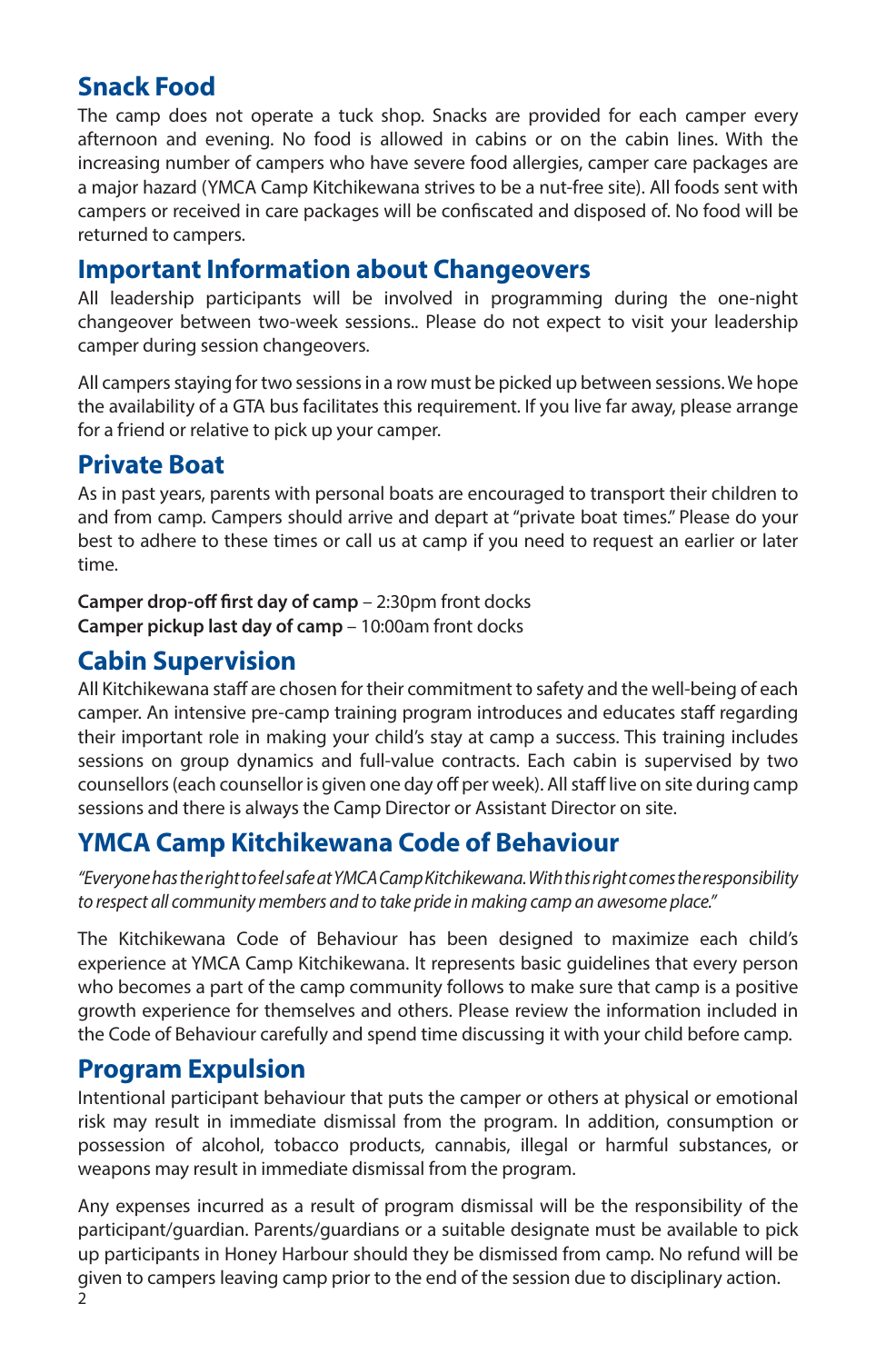# **Snack Food**

The camp does not operate a tuck shop. Snacks are provided for each camper every afternoon and evening. No food is allowed in cabins or on the cabin lines. With the increasing number of campers who have severe food allergies, camper care packages are a major hazard (YMCA Camp Kitchikewana strives to be a nut-free site). All foods sent with campers or received in care packages will be confiscated and disposed of. No food will be returned to campers.

#### **Important Information about Changeovers**

All leadership participants will be involved in programming during the one-night changeover between two-week sessions.. Please do not expect to visit your leadership camper during session changeovers.

All campers staying for two sessions in a row must be picked up between sessions. We hope the availability of a GTA bus facilitates this requirement. If you live far away, please arrange for a friend or relative to pick up your camper.

#### **Private Boat**

As in past years, parents with personal boats are encouraged to transport their children to and from camp. Campers should arrive and depart at "private boat times." Please do your best to adhere to these times or call us at camp if you need to request an earlier or later time.

**Camper drop-off first day of camp** – 2:30pm front docks **Camper pickup last day of camp** – 10:00am front docks

#### **Cabin Supervision**

All Kitchikewana staff are chosen for their commitment to safety and the well-being of each camper. An intensive pre-camp training program introduces and educates staff regarding their important role in making your child's stay at camp a success. This training includes sessions on group dynamics and full-value contracts. Each cabin is supervised by two counsellors (each counsellor is given one day off per week). All staff live on site during camp sessions and there is always the Camp Director or Assistant Director on site.

#### **YMCA Camp Kitchikewana Code of Behaviour**

"Everyone has the right to feel safe at YMCA Camp Kitchikewana. With this right comes the responsibility to respect all community members and to take pride in making camp an awesome place."

The Kitchikewana Code of Behaviour has been designed to maximize each child's experience at YMCA Camp Kitchikewana. It represents basic guidelines that every person who becomes a part of the camp community follows to make sure that camp is a positive growth experience for themselves and others. Please review the information included in the Code of Behaviour carefully and spend time discussing it with your child before camp.

#### **Program Expulsion**

Intentional participant behaviour that puts the camper or others at physical or emotional risk may result in immediate dismissal from the program. In addition, consumption or possession of alcohol, tobacco products, cannabis, illegal or harmful substances, or weapons may result in immediate dismissal from the program.

Any expenses incurred as a result of program dismissal will be the responsibility of the participant/guardian. Parents/guardians or a suitable designate must be available to pick up participants in Honey Harbour should they be dismissed from camp. No refund will be given to campers leaving camp prior to the end of the session due to disciplinary action.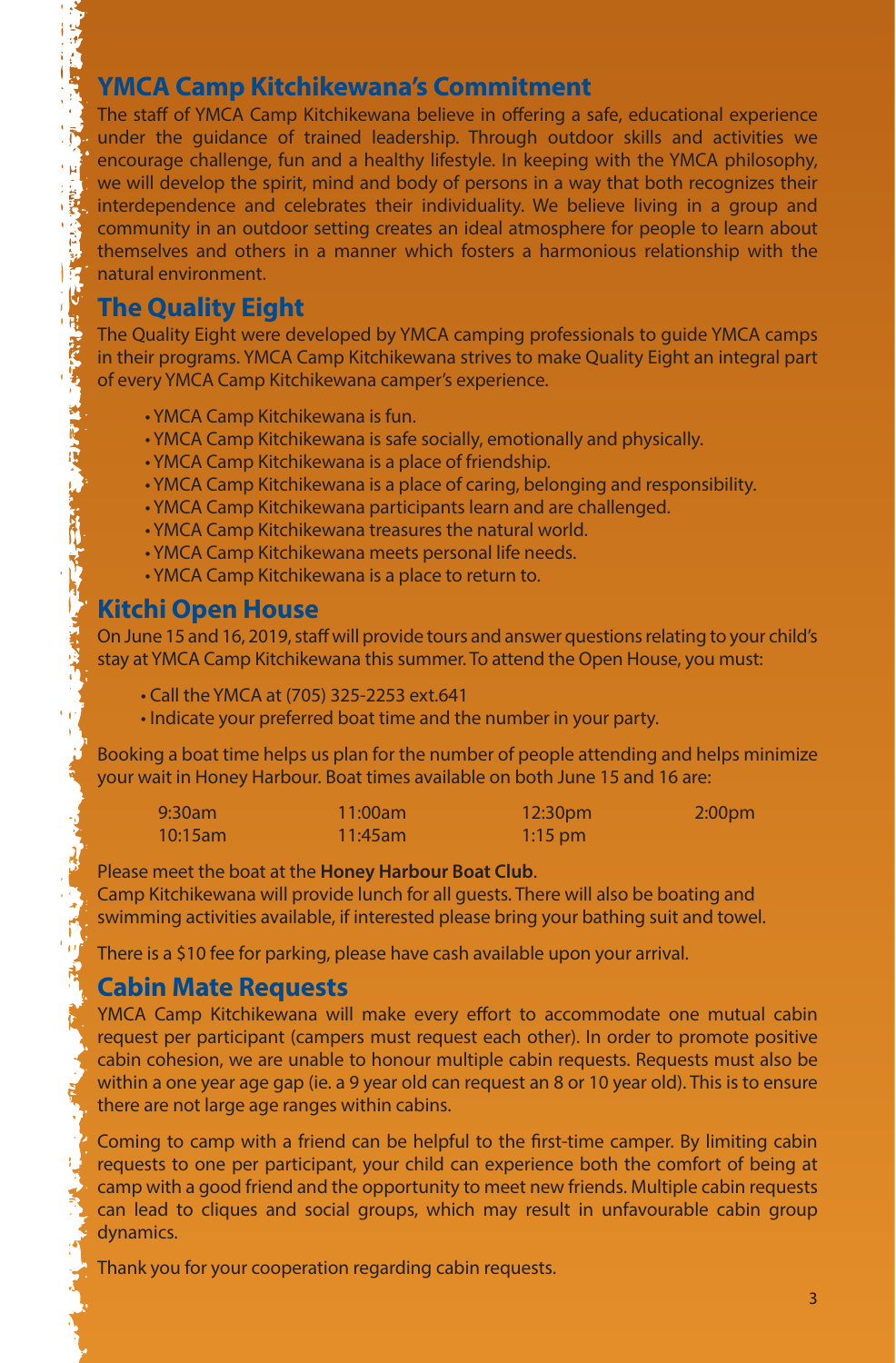#### **YMCA Camp Kitchikewana's Commitment**

The staff of YMCA Camp Kitchikewana believe in offering a safe, educational experience  $\mathbb{R}$  under the guidance of trained leadership. Through outdoor skills and activities we encourage challenge, fun and a healthy lifestyle. In keeping with the YMCA philosophy, we will develop the spirit, mind and body of persons in a way that both recognizes their it, interdependence and celebrates their individuality. We believe living in a group and community in an outdoor setting creates an ideal atmosphere for people to learn about themselves and others in a manner which fosters a harmonious relationship with the **13** natural environment.

#### **The Quality Eight**

电子线

The Quality Eight were developed by YMCA camping professionals to guide YMCA camps in their programs. YMCA Camp Kitchikewana strives to make Quality Eight an integral part of every YMCA Camp Kitchikewana camper's experience.

- YMCA Camp Kitchikewana is fun.
- YMCA Camp Kitchikewana is safe socially, emotionally and physically.
- YMCA Camp Kitchikewana is a place of friendship.
- YMCA Camp Kitchikewana is a place of caring, belonging and responsibility.
- YMCA Camp Kitchikewana participants learn and are challenged.
- YMCA Camp Kitchikewana treasures the natural world.
- YMCA Camp Kitchikewana meets personal life needs.
- YMCA Camp Kitchikewana is a place to return to.

#### **Kitchi Open House**

On June 15 and 16, 2019, staff will provide tours and answer questions relating to your child's stay at YMCA Camp Kitchikewana this summer. To attend the Open House, you must:

- Call the YMCA at (705) 325-2253 ext.641
- Indicate your preferred boat time and the number in your party.

Booking a boat time helps us plan for the number of people attending and helps minimize your wait in Honey Harbour. Boat times available on both June 15 and 16 are:

| $9:30$ am  | $11:00$ am  | 12:30 <sub>pm</sub> | 2:00 <sub>pm</sub> |
|------------|-------------|---------------------|--------------------|
| $10:15$ am | $11:45$ am' | $1:15$ pm           |                    |

#### Please meet the boat at the **Honey Harbour Boat Club**.

Camp Kitchikewana will provide lunch for all guests. There will also be boating and swimming activities available, if interested please bring your bathing suit and towel.

There is a \$10 fee for parking, please have cash available upon your arrival.

#### **Cabin Mate Requests**

YMCA Camp Kitchikewana will make every effort to accommodate one mutual cabin request per participant (campers must request each other). In order to promote positive cabin cohesion, we are unable to honour multiple cabin requests. Requests must also be within a one year age gap (ie. a 9 year old can request an 8 or 10 year old). This is to ensure there are not large age ranges within cabins.

Coming to camp with a friend can be helpful to the first-time camper. By limiting cabin requests to one per participant, your child can experience both the comfort of being at camp with a good friend and the opportunity to meet new friends. Multiple cabin requests can lead to cliques and social groups, which may result in unfavourable cabin group dynamics.

Thank you for your cooperation regarding cabin requests.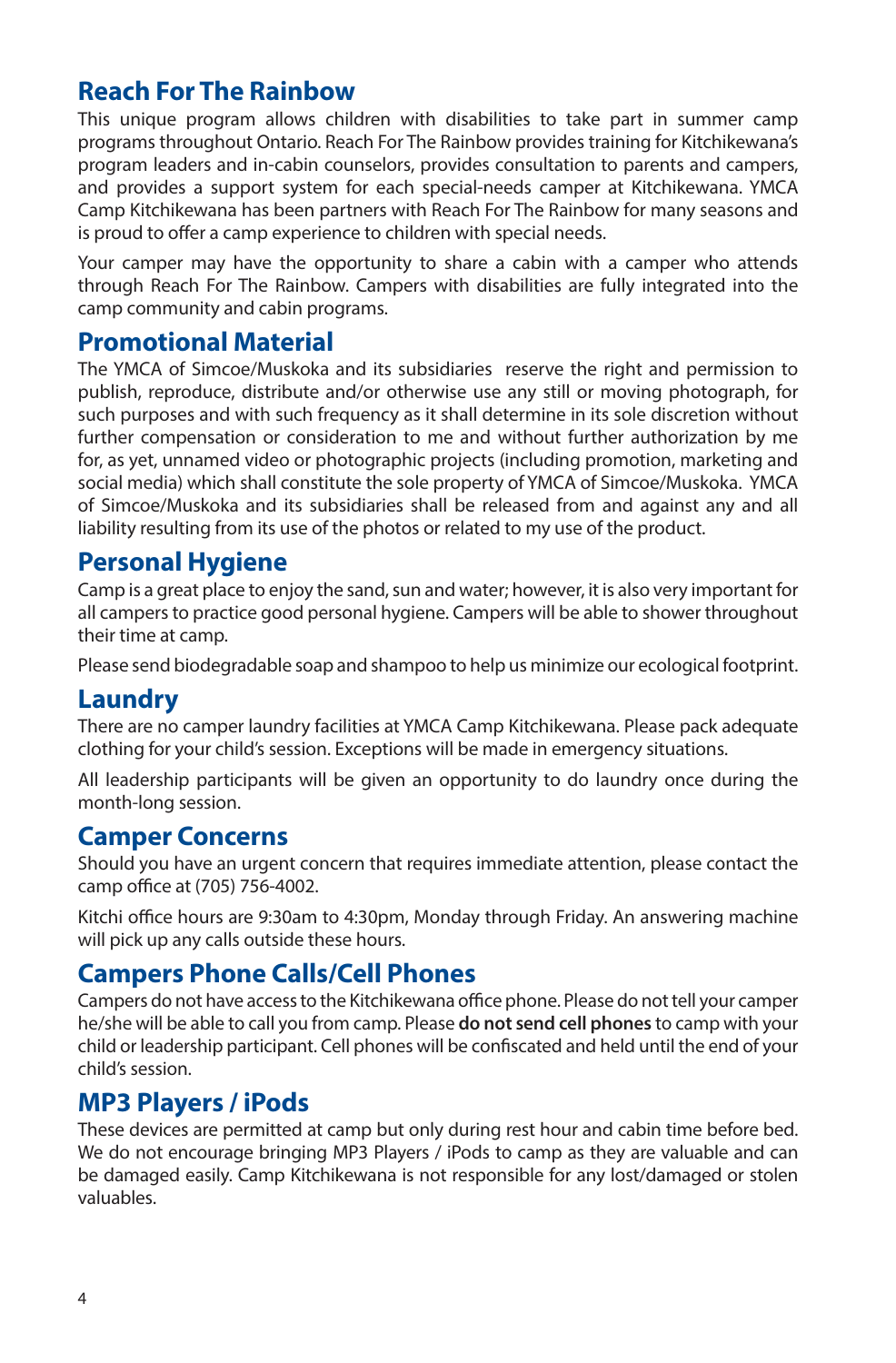#### **Reach For The Rainbow**

This unique program allows children with disabilities to take part in summer camp programs throughout Ontario. Reach For The Rainbow provides training for Kitchikewana's program leaders and in-cabin counselors, provides consultation to parents and campers, and provides a support system for each special-needs camper at Kitchikewana. YMCA Camp Kitchikewana has been partners with Reach For The Rainbow for many seasons and is proud to offer a camp experience to children with special needs.

Your camper may have the opportunity to share a cabin with a camper who attends through Reach For The Rainbow. Campers with disabilities are fully integrated into the camp community and cabin programs.

#### **Promotional Material**

The YMCA of Simcoe/Muskoka and its subsidiaries reserve the right and permission to publish, reproduce, distribute and/or otherwise use any still or moving photograph, for such purposes and with such frequency as it shall determine in its sole discretion without further compensation or consideration to me and without further authorization by me for, as yet, unnamed video or photographic projects (including promotion, marketing and social media) which shall constitute the sole property of YMCA of Simcoe/Muskoka. YMCA of Simcoe/Muskoka and its subsidiaries shall be released from and against any and all liability resulting from its use of the photos or related to my use of the product.

#### **Personal Hygiene**

Camp is a great place to enjoy the sand, sun and water; however, it is also very important for all campers to practice good personal hygiene. Campers will be able to shower throughout their time at camp.

Please send biodegradable soap and shampoo to help us minimize our ecological footprint.

# **Laundry**

There are no camper laundry facilities at YMCA Camp Kitchikewana. Please pack adequate clothing for your child's session. Exceptions will be made in emergency situations.

All leadership participants will be given an opportunity to do laundry once during the month-long session.

#### **Camper Concerns**

Should you have an urgent concern that requires immediate attention, please contact the camp office at (705) 756-4002.

Kitchi office hours are 9:30am to 4:30pm, Monday through Friday. An answering machine will pick up any calls outside these hours.

#### **Campers Phone Calls/Cell Phones**

Campers do not have access to the Kitchikewana office phone. Please do not tell your camper he/she will be able to call you from camp. Please **do not send cell phones** to camp with your child or leadership participant. Cell phones will be confiscated and held until the end of your child's session.

#### **MP3 Players / iPods**

These devices are permitted at camp but only during rest hour and cabin time before bed. We do not encourage bringing MP3 Players / iPods to camp as they are valuable and can be damaged easily. Camp Kitchikewana is not responsible for any lost/damaged or stolen valuables.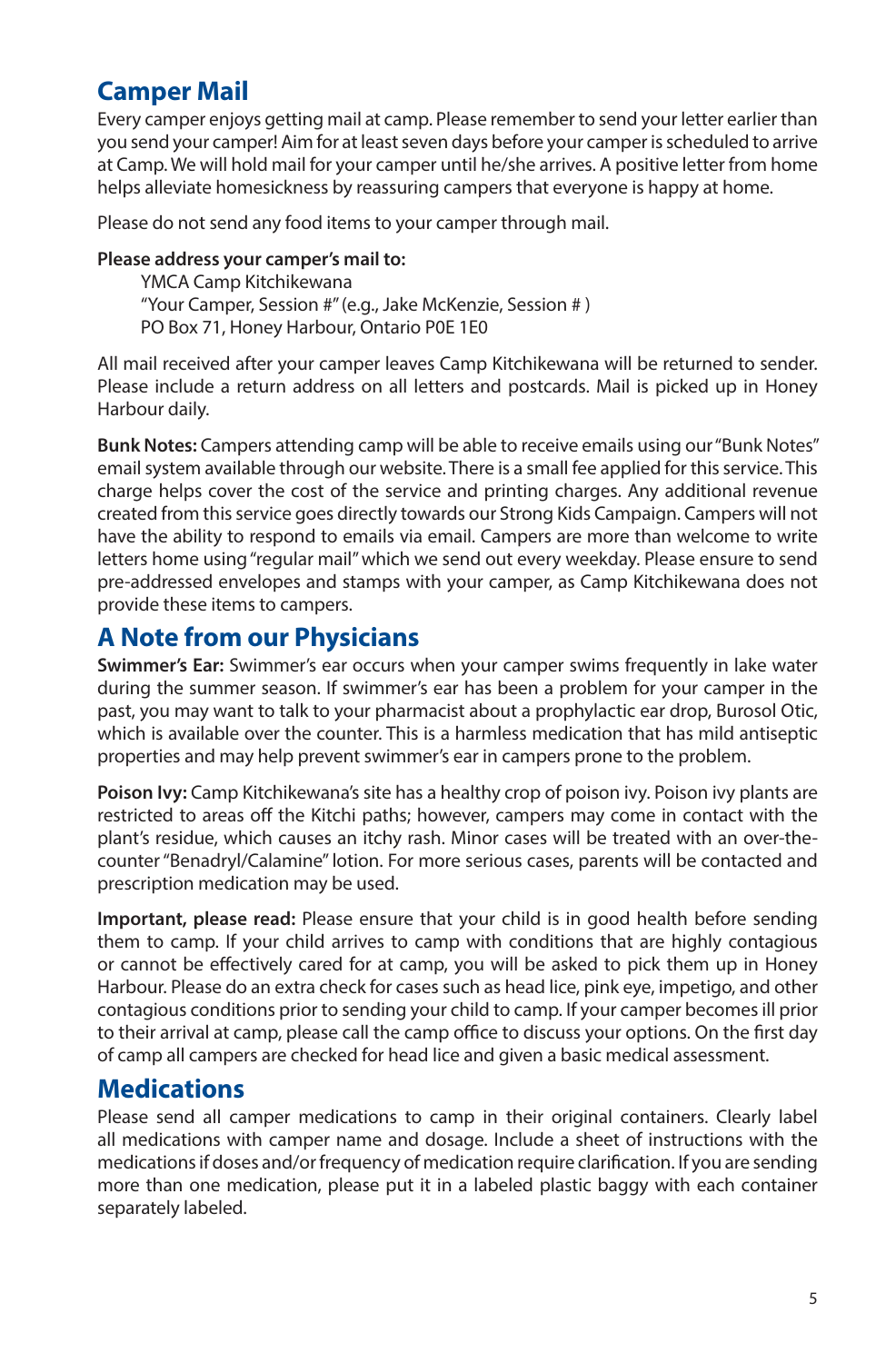# **Camper Mail**

Every camper enjoys getting mail at camp. Please remember to send your letter earlier than you send your camper! Aim for at least seven days before your camper is scheduled to arrive at Camp. We will hold mail for your camper until he/she arrives. A positive letter from home helps alleviate homesickness by reassuring campers that everyone is happy at home.

Please do not send any food items to your camper through mail.

#### **Please address your camper's mail to:**

 YMCA Camp Kitchikewana "Your Camper, Session #" (e.g., Jake McKenzie, Session # ) PO Box 71, Honey Harbour, Ontario P0E 1E0

All mail received after your camper leaves Camp Kitchikewana will be returned to sender. Please include a return address on all letters and postcards. Mail is picked up in Honey Harbour daily.

**Bunk Notes:** Campers attending camp will be able to receive emails using our "Bunk Notes" email system available through our website. There is a small fee applied for this service. This charge helps cover the cost of the service and printing charges. Any additional revenue created from this service goes directly towards our Strong Kids Campaign. Campers will not have the ability to respond to emails via email. Campers are more than welcome to write letters home using "regular mail" which we send out every weekday. Please ensure to send pre-addressed envelopes and stamps with your camper, as Camp Kitchikewana does not provide these items to campers.

# **A Note from our Physicians**

**Swimmer's Ear:** Swimmer's ear occurs when your camper swims frequently in lake water during the summer season. If swimmer's ear has been a problem for your camper in the past, you may want to talk to your pharmacist about a prophylactic ear drop, Burosol Otic, which is available over the counter. This is a harmless medication that has mild antiseptic properties and may help prevent swimmer's ear in campers prone to the problem.

**Poison Ivy:** Camp Kitchikewana's site has a healthy crop of poison ivy. Poison ivy plants are restricted to areas off the Kitchi paths; however, campers may come in contact with the plant's residue, which causes an itchy rash. Minor cases will be treated with an over-thecounter "Benadryl/Calamine" lotion. For more serious cases, parents will be contacted and prescription medication may be used.

**Important, please read:** Please ensure that your child is in good health before sending them to camp. If your child arrives to camp with conditions that are highly contagious or cannot be effectively cared for at camp, you will be asked to pick them up in Honey Harbour. Please do an extra check for cases such as head lice, pink eye, impetigo, and other contagious conditions prior to sending your child to camp. If your camper becomes ill prior to their arrival at camp, please call the camp office to discuss your options. On the first day of camp all campers are checked for head lice and given a basic medical assessment.

#### **Medications**

Please send all camper medications to camp in their original containers. Clearly label all medications with camper name and dosage. Include a sheet of instructions with the medications if doses and/or frequency of medication require clarification. If you are sending more than one medication, please put it in a labeled plastic baggy with each container separately labeled.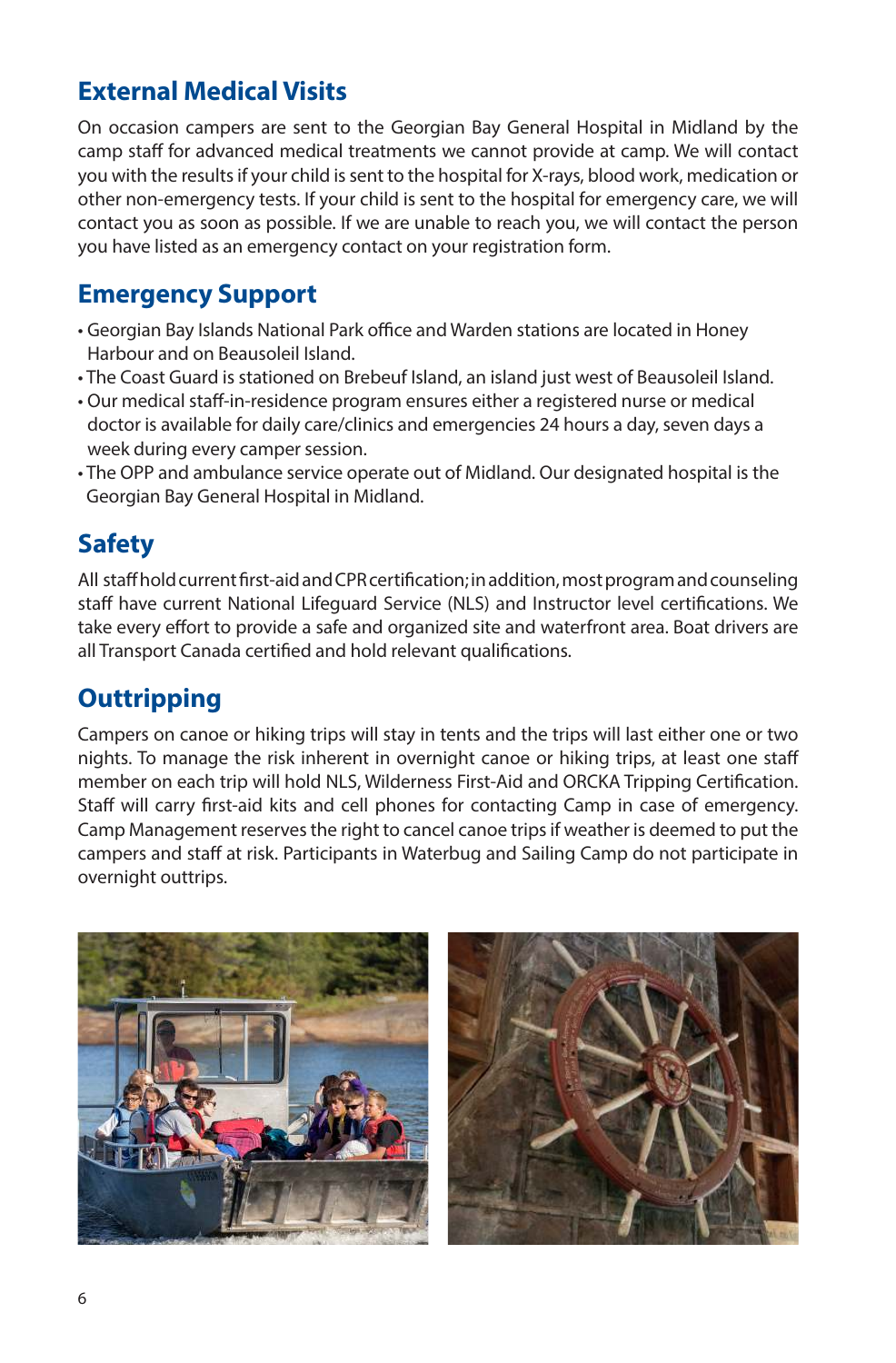# **External Medical Visits**

On occasion campers are sent to the Georgian Bay General Hospital in Midland by the camp staff for advanced medical treatments we cannot provide at camp. We will contact you with the results if your child is sent to the hospital for X-rays, blood work, medication or other non-emergency tests. If your child is sent to the hospital for emergency care, we will contact you as soon as possible. If we are unable to reach you, we will contact the person you have listed as an emergency contact on your registration form.

# **Emergency Support**

- Georgian Bay Islands National Park office and Warden stations are located in Honey Harbour and on Beausoleil Island.
- The Coast Guard is stationed on Brebeuf Island, an island just west of Beausoleil Island.
- Our medical staff-in-residence program ensures either a registered nurse or medical doctor is available for daily care/clinics and emergencies 24 hours a day, seven days a week during every camper session.
- The OPP and ambulance service operate out of Midland. Our designated hospital is the Georgian Bay General Hospital in Midland.

# **Safety**

All staff hold current first-aid and CPR certification; in addition, most program and counseling staff have current National Lifeguard Service (NLS) and Instructor level certifications. We take every effort to provide a safe and organized site and waterfront area. Boat drivers are all Transport Canada certified and hold relevant qualifications.

# **Outtripping**

Campers on canoe or hiking trips will stay in tents and the trips will last either one or two nights. To manage the risk inherent in overnight canoe or hiking trips, at least one staff member on each trip will hold NLS, Wilderness First-Aid and ORCKA Tripping Certification. Staff will carry first-aid kits and cell phones for contacting Camp in case of emergency. Camp Management reserves the right to cancel canoe trips if weather is deemed to put the campers and staff at risk. Participants in Waterbug and Sailing Camp do not participate in overnight outtrips.

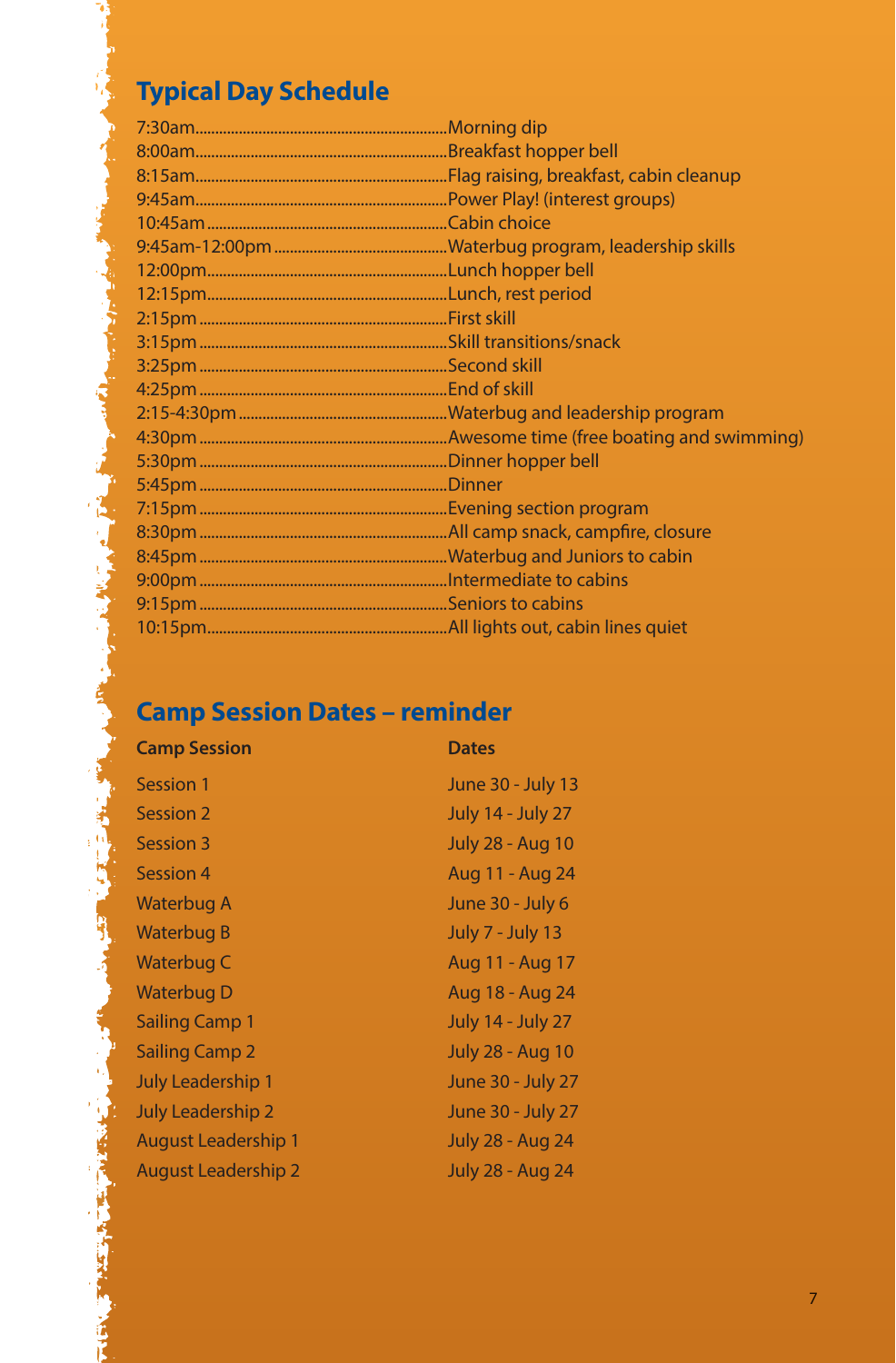# **Typical Day Schedule**

**The Company of Company of the Company of Company of Company of Company of Company of Company of Company of Company** 

**CONTRACTOR COMPANY AND INCOME.** 

**PARTIES AND RESIDENTS** 

# **Camp Session Dates – reminder**

| <b>Camp Session</b>        | <b>Dates</b>             |
|----------------------------|--------------------------|
| Session 1                  | June 30 - July 13        |
| Session 2                  | <b>July 14 - July 27</b> |
| Session 3                  | <b>July 28 - Aug 10</b>  |
| Session 4                  | Aug 11 - Aug 24          |
| Waterbug A                 | June 30 - July 6         |
| Waterbug B                 | <b>July 7 - July 13</b>  |
| Waterbug C                 | Aug 11 - Aug 17          |
| <b>Waterbug D</b>          | Aug 18 - Aug 24          |
| <b>Sailing Camp 1</b>      | <b>July 14 - July 27</b> |
| <b>Sailing Camp 2</b>      | <b>July 28 - Aug 10</b>  |
| July Leadership 1          | June 30 - July 27        |
| <b>July Leadership 2</b>   | June 30 - July 27        |
| August Leadership 1        | <b>July 28 - Aug 24</b>  |
| <b>August Leadership 2</b> | <b>July 28 - Aug 24</b>  |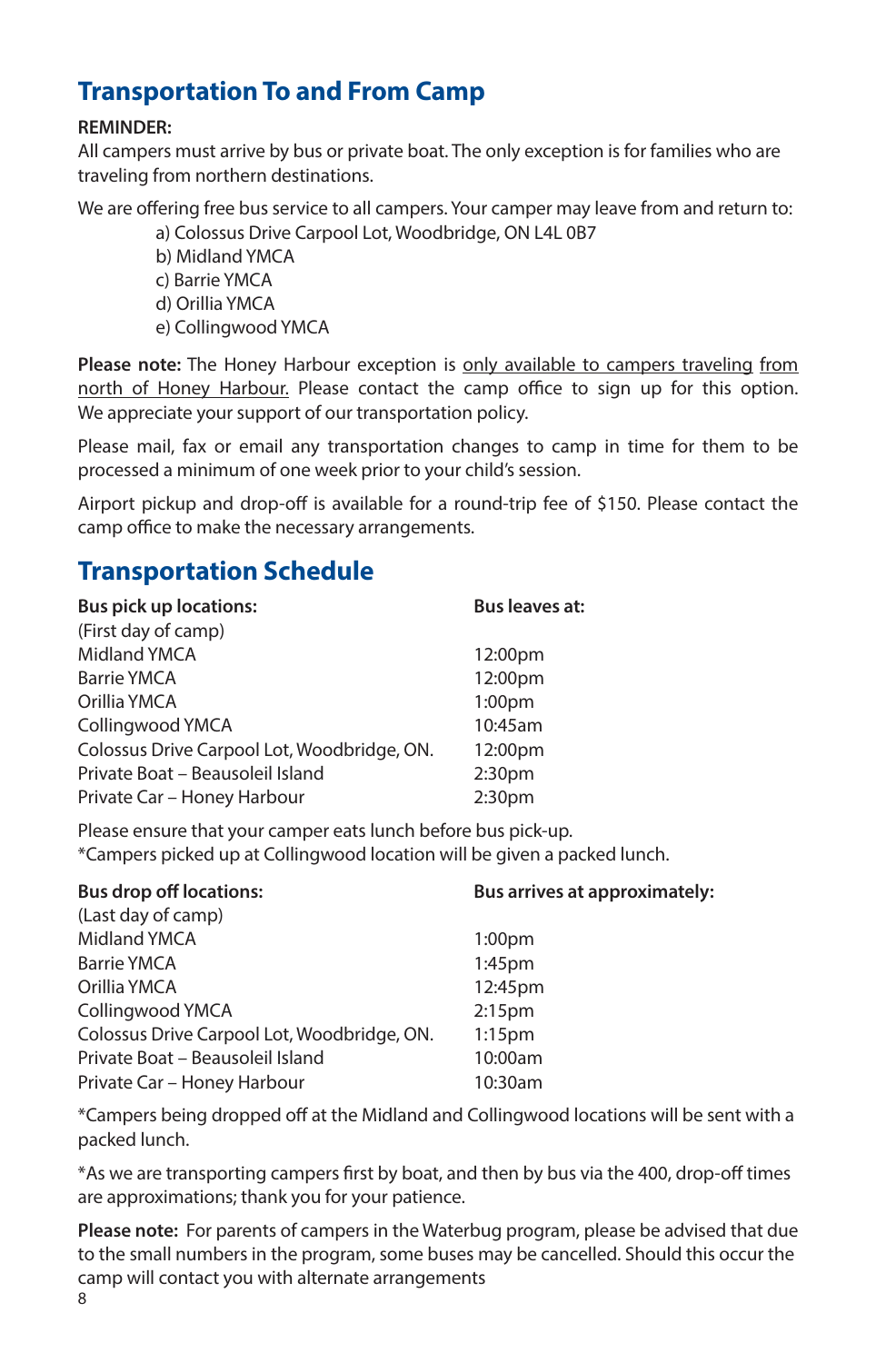# **Transportation To and From Camp**

#### **REMINDER:**

All campers must arrive by bus or private boat. The only exception is for families who are traveling from northern destinations.

We are offering free bus service to all campers. Your camper may leave from and return to:

a) Colossus Drive Carpool Lot, Woodbridge, ON L4L 0B7

- b) Midland YMCA c) Barrie YMCA d) Orillia YMCA
- e) Collingwood YMCA

**Please note:** The Honey Harbour exception is only available to campers traveling from north of Honey Harbour. Please contact the camp office to sign up for this option. We appreciate your support of our transportation policy.

Please mail, fax or email any transportation changes to camp in time for them to be processed a minimum of one week prior to your child's session.

Airport pickup and drop-off is available for a round-trip fee of \$150. Please contact the camp office to make the necessary arrangements.

# **Transportation Schedule**

| <b>Bus leaves at:</b> |
|-----------------------|
|                       |
| 12:00pm               |
| 12:00pm               |
| 1:00 <sub>pm</sub>    |
| 10:45am               |
| 12:00pm               |
| 2:30 <sub>pm</sub>    |
| 2:30 <sub>pm</sub>    |
|                       |

Please ensure that your camper eats lunch before bus pick-up. \*Campers picked up at Collingwood location will be given a packed lunch.

| <b>Bus drop off locations:</b>              | Bus arrives at approximately: |  |
|---------------------------------------------|-------------------------------|--|
| (Last day of camp)                          |                               |  |
| Midland YMCA                                | 1:00 <sub>pm</sub>            |  |
| <b>Barrie YMCA</b>                          | $1:45$ pm                     |  |
| Orillia YMCA                                | 12:45pm                       |  |
| Collingwood YMCA                            | 2:15 <sub>pm</sub>            |  |
| Colossus Drive Carpool Lot, Woodbridge, ON. | $1:15$ pm                     |  |
| Private Boat - Beausoleil Island            | 10:00am                       |  |
| Private Car - Honey Harbour                 | 10:30am                       |  |

\*Campers being dropped off at the Midland and Collingwood locations will be sent with a packed lunch.

\*As we are transporting campers first by boat, and then by bus via the 400, drop-off times are approximations; thank you for your patience.

**Please note:** For parents of campers in the Waterbug program, please be advised that due to the small numbers in the program, some buses may be cancelled. Should this occur the camp will contact you with alternate arrangements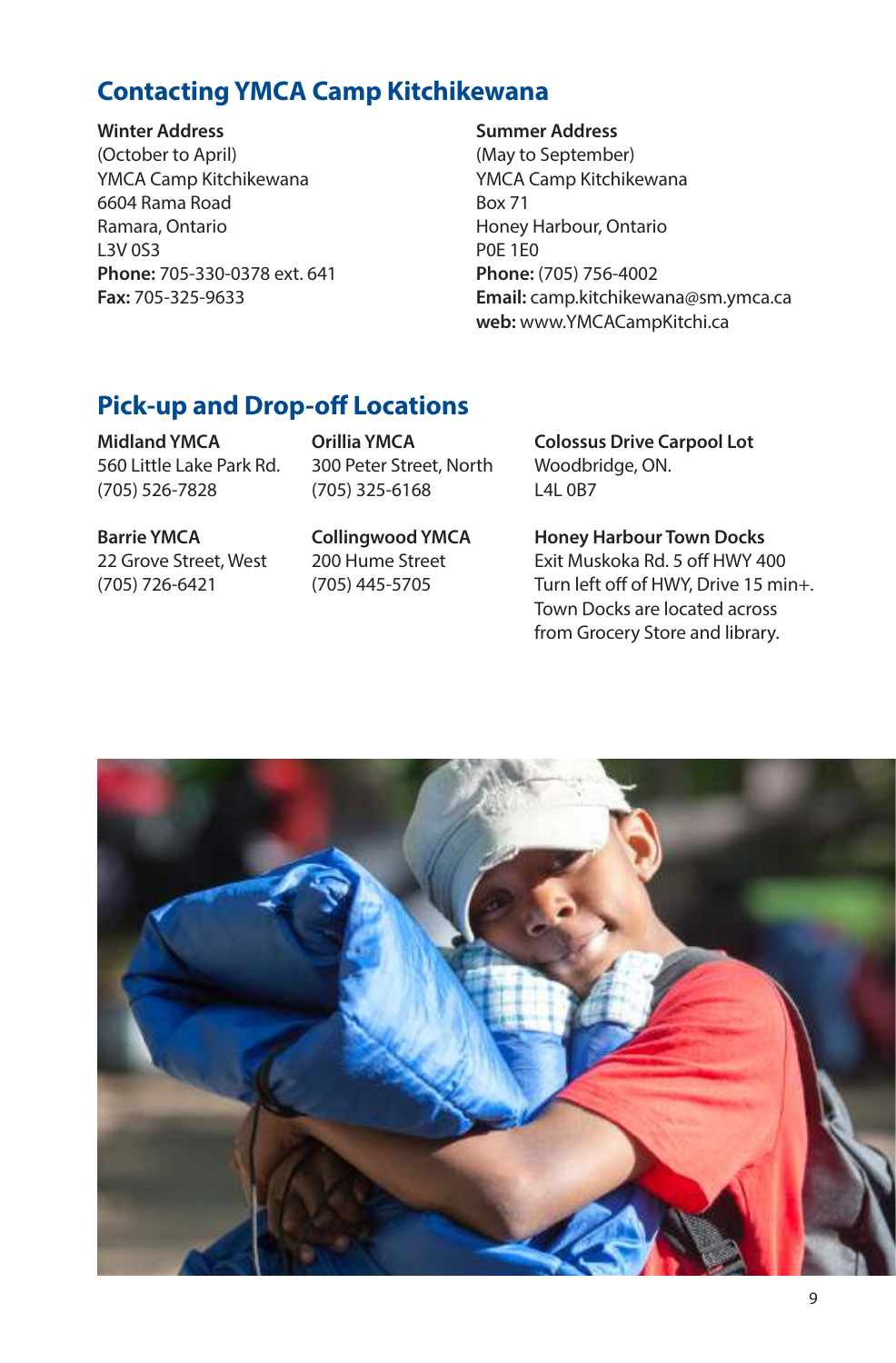# **Contacting YMCA Camp Kitchikewana**

**Winter Address Summer Address** (October to April) (May to September) YMCA Camp Kitchikewana YMCA Camp Kitchikewana 6604 Rama Road Box 71 Ramara, Ontario **Honey Harbour, Ontario** L3V 0S3 POE 1E0 **Phone:** 705-330-0378 ext. 641 **Phone:** (705) 756-4002

**Fax:** 705-325-9633 **Email:** camp.kitchikewana@sm.ymca.ca **web:** www.YMCACampKitchi.ca

### **Pick-up and Drop-off Locations**

560 Little Lake Park Rd. 300 Peter Street, North Woodbridge, ON. (705) 526-7828 (705) 325-6168 L4L 0B7

**Midland YMCA Orillia YMCA Colossus Drive Carpool Lot**

**Barrie YMCA Collingwood YMCA Honey Harbour Town Docks** 22 Grove Street, West 200 Hume Street Exit Muskoka Rd. 5 off HWY 400 (705) 726-6421 (705) 445-5705 Turn left off of HWY, Drive 15 min+. Town Docks are located across from Grocery Store and library.